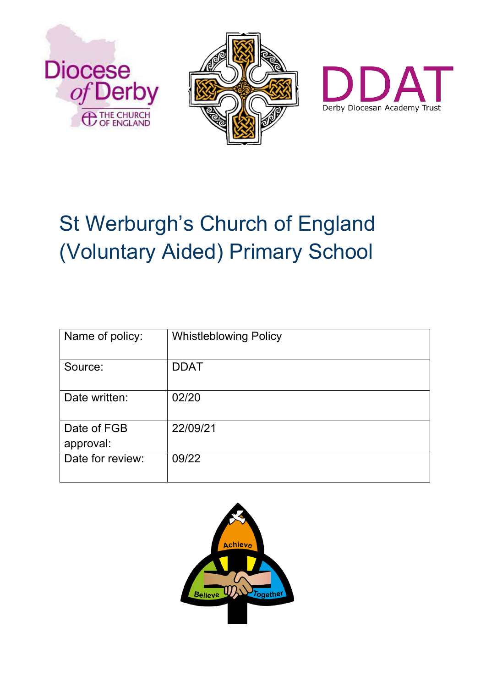





# St Werburgh's Church of England (Voluntary Aided) Primary School

| Name of policy:          | <b>Whistleblowing Policy</b> |
|--------------------------|------------------------------|
| Source:                  | <b>DDAT</b>                  |
| Date written:            | 02/20                        |
| Date of FGB<br>approval: | 22/09/21                     |
| Date for review:         | 09/22                        |

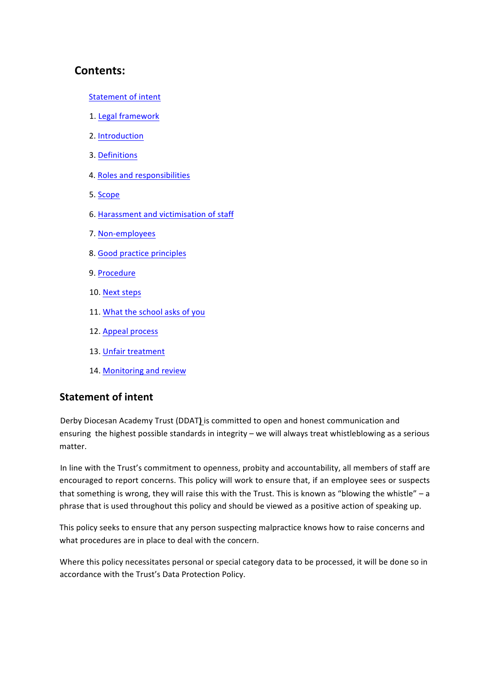# **Contents:**

- Statement of intent
- 1. Legal framework
- 2. Introduction
- 3. Definitions
- 4. Roles and responsibilities
- 5. Scope
- 6. Harassment and victimisation of staff
- 7. Non-employees
- 8. Good practice principles
- 9. Procedure
- 10. Next steps
- 11. What the school asks of you
- 12. Appeal process
- 13. Unfair treatment
- 14. Monitoring and review

## **Statement of intent**

Derby Diocesan Academy Trust (DDAT) is committed to open and honest communication and ensuring the highest possible standards in integrity – we will always treat whistleblowing as a serious matter. 

In line with the Trust's commitment to openness, probity and accountability, all members of staff are encouraged to report concerns. This policy will work to ensure that, if an employee sees or suspects that something is wrong, they will raise this with the Trust. This is known as "blowing the whistle" - a phrase that is used throughout this policy and should be viewed as a positive action of speaking up.

This policy seeks to ensure that any person suspecting malpractice knows how to raise concerns and what procedures are in place to deal with the concern.

Where this policy necessitates personal or special category data to be processed, it will be done so in accordance with the Trust's Data Protection Policy.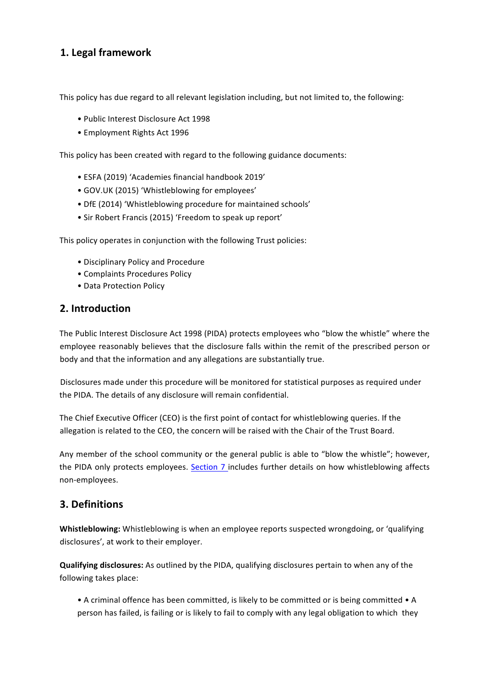# **1. Legal framework**

This policy has due regard to all relevant legislation including, but not limited to, the following:

- Public Interest Disclosure Act 1998
- Employment Rights Act 1996

This policy has been created with regard to the following guidance documents:

- ESFA (2019) 'Academies financial handbook 2019'
- GOV.UK (2015) 'Whistleblowing for employees'
- DfE (2014) 'Whistleblowing procedure for maintained schools'
- Sir Robert Francis (2015) 'Freedom to speak up report'

This policy operates in conjunction with the following Trust policies:

- Disciplinary Policy and Procedure
- Complaints Procedures Policy
- Data Protection Policy

## 2. Introduction

The Public Interest Disclosure Act 1998 (PIDA) protects employees who "blow the whistle" where the employee reasonably believes that the disclosure falls within the remit of the prescribed person or body and that the information and any allegations are substantially true.

Disclosures made under this procedure will be monitored for statistical purposes as required under the PIDA. The details of any disclosure will remain confidential.

The Chief Executive Officer (CEO) is the first point of contact for whistleblowing queries. If the allegation is related to the CEO, the concern will be raised with the Chair of the Trust Board.

Any member of the school community or the general public is able to "blow the whistle"; however, the PIDA only protects employees. Section 7 includes further details on how whistleblowing affects non-employees. 

## **3.** Definitions

**Whistleblowing:** Whistleblowing is when an employee reports suspected wrongdoing, or 'qualifying disclosures', at work to their employer.

**Qualifying disclosures:** As outlined by the PIDA, qualifying disclosures pertain to when any of the following takes place:

• A criminal offence has been committed, is likely to be committed or is being committed • A person has failed, is failing or is likely to fail to comply with any legal obligation to which they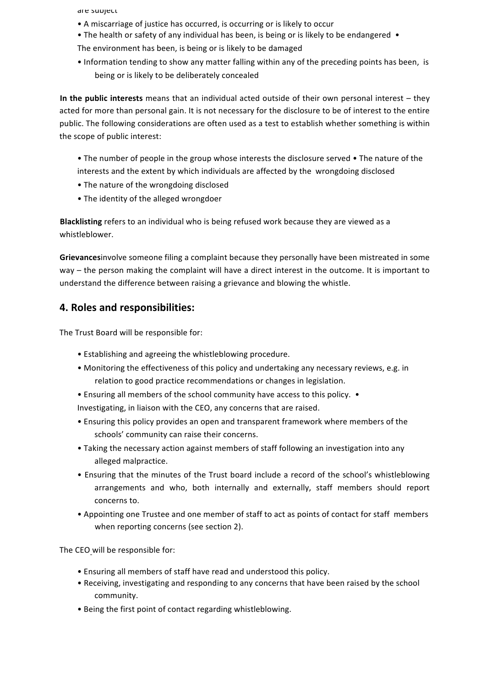are subject

• A miscarriage of justice has occurred, is occurring or is likely to occur

• The health or safety of any individual has been, is being or is likely to be endangered • The environment has been, is being or is likely to be damaged

• Information tending to show any matter falling within any of the preceding points has been, is being or is likely to be deliberately concealed

**In the public interests** means that an individual acted outside of their own personal interest – they acted for more than personal gain. It is not necessary for the disclosure to be of interest to the entire public. The following considerations are often used as a test to establish whether something is within the scope of public interest:

• The number of people in the group whose interests the disclosure served • The nature of the interests and the extent by which individuals are affected by the wrongdoing disclosed

- The nature of the wrongdoing disclosed
- The identity of the alleged wrongdoer

Blacklisting refers to an individual who is being refused work because they are viewed as a whistleblower. 

Grievancesinvolve someone filing a complaint because they personally have been mistreated in some way – the person making the complaint will have a direct interest in the outcome. It is important to understand the difference between raising a grievance and blowing the whistle.

## **4. Roles and responsibilities:**

The Trust Board will be responsible for:

- Establishing and agreeing the whistleblowing procedure.
- Monitoring the effectiveness of this policy and undertaking any necessary reviews, e.g. in relation to good practice recommendations or changes in legislation.
- Ensuring all members of the school community have access to this policy. •

Investigating, in liaison with the CEO, any concerns that are raised.

- Ensuring this policy provides an open and transparent framework where members of the schools' community can raise their concerns.
- Taking the necessary action against members of staff following an investigation into any alleged malpractice.
- Ensuring that the minutes of the Trust board include a record of the school's whistleblowing arrangements and who, both internally and externally, staff members should report concerns to.
- Appointing one Trustee and one member of staff to act as points of contact for staff members when reporting concerns (see section 2).

The CEO will be responsible for:

- Ensuring all members of staff have read and understood this policy.
- Receiving, investigating and responding to any concerns that have been raised by the school community.
- Being the first point of contact regarding whistleblowing.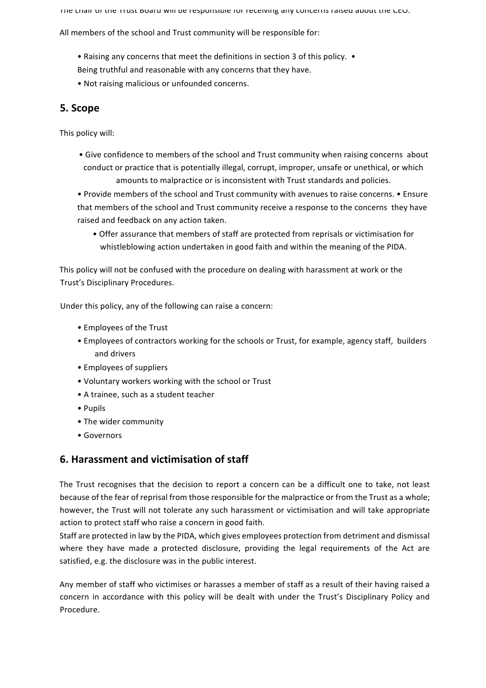The chair of the Trust board will be responsible for receiving any concerns raised about the CEO.

All members of the school and Trust community will be responsible for:

- Raising any concerns that meet the definitions in section 3 of this policy. •
- Being truthful and reasonable with any concerns that they have.
- Not raising malicious or unfounded concerns.

# **5. Scope**

This policy will:

- Give confidence to members of the school and Trust community when raising concerns about conduct or practice that is potentially illegal, corrupt, improper, unsafe or unethical, or which amounts to malpractice or is inconsistent with Trust standards and policies.
- Provide members of the school and Trust community with avenues to raise concerns. Ensure that members of the school and Trust community receive a response to the concerns they have raised and feedback on any action taken.
	- Offer assurance that members of staff are protected from reprisals or victimisation for whistleblowing action undertaken in good faith and within the meaning of the PIDA.

This policy will not be confused with the procedure on dealing with harassment at work or the Trust's Disciplinary Procedures.

Under this policy, any of the following can raise a concern:

- Employees of the Trust
- Employees of contractors working for the schools or Trust, for example, agency staff, builders and drivers
- Employees of suppliers
- Voluntary workers working with the school or Trust
- A trainee, such as a student teacher
- • Pupils
- The wider community
- • Governors

## **6. Harassment and victimisation of staff**

The Trust recognises that the decision to report a concern can be a difficult one to take, not least because of the fear of reprisal from those responsible for the malpractice or from the Trust as a whole; however, the Trust will not tolerate any such harassment or victimisation and will take appropriate action to protect staff who raise a concern in good faith.

Staff are protected in law by the PIDA, which gives employees protection from detriment and dismissal where they have made a protected disclosure, providing the legal requirements of the Act are satisfied, e.g. the disclosure was in the public interest.

Any member of staff who victimises or harasses a member of staff as a result of their having raised a concern in accordance with this policy will be dealt with under the Trust's Disciplinary Policy and Procedure.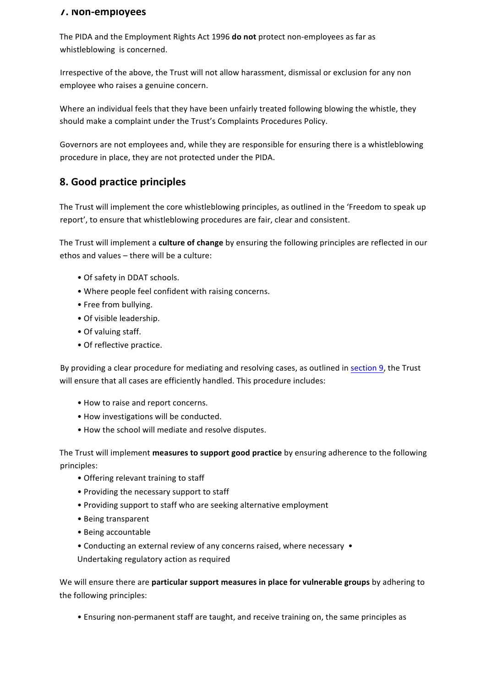#### **7. Non-employees**

The PIDA and the Employment Rights Act 1996 **do not** protect non-employees as far as whistleblowing is concerned.

Irrespective of the above, the Trust will not allow harassment, dismissal or exclusion for any non employee who raises a genuine concern.

Where an individual feels that they have been unfairly treated following blowing the whistle, they should make a complaint under the Trust's Complaints Procedures Policy.

Governors are not employees and, while they are responsible for ensuring there is a whistleblowing procedure in place, they are not protected under the PIDA.

# **8. Good practice principles**

The Trust will implement the core whistleblowing principles, as outlined in the 'Freedom to speak up report', to ensure that whistleblowing procedures are fair, clear and consistent.

The Trust will implement a **culture of change** by ensuring the following principles are reflected in our ethos and values – there will be a culture:

- Of safety in DDAT schools.
- Where people feel confident with raising concerns.
- Free from bullying.
- Of visible leadership.
- Of valuing staff.
- Of reflective practice.

By providing a clear procedure for mediating and resolving cases, as outlined in section 9, the Trust will ensure that all cases are efficiently handled. This procedure includes:

- How to raise and report concerns.
- How investigations will be conducted.
- How the school will mediate and resolve disputes.

The Trust will implement **measures to support good practice** by ensuring adherence to the following principles:

- Offering relevant training to staff
- Providing the necessary support to staff
- Providing support to staff who are seeking alternative employment
- • Being transparent
- Being accountable
- Conducting an external review of any concerns raised, where necessary •
- Undertaking regulatory action as required

We will ensure there are **particular support measures in place for vulnerable groups** by adhering to the following principles:

• Ensuring non-permanent staff are taught, and receive training on, the same principles as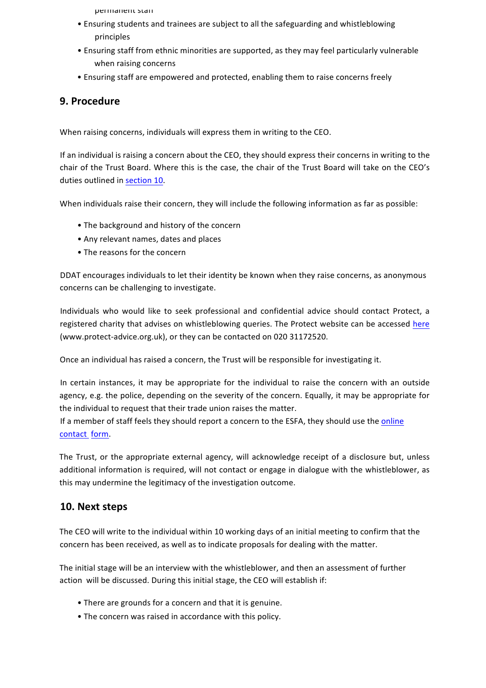- permanent stan
- Ensuring students and trainees are subject to all the safeguarding and whistleblowing principles
- Ensuring staff from ethnic minorities are supported, as they may feel particularly vulnerable when raising concerns
- Ensuring staff are empowered and protected, enabling them to raise concerns freely

## **9. Procedure**

When raising concerns, individuals will express them in writing to the CEO.

If an individual is raising a concern about the CEO, they should express their concerns in writing to the chair of the Trust Board. Where this is the case, the chair of the Trust Board will take on the CEO's duties outlined in section 10.

When individuals raise their concern, they will include the following information as far as possible:

- The background and history of the concern
- Any relevant names, dates and places
- The reasons for the concern

DDAT encourages individuals to let their identity be known when they raise concerns, as anonymous concerns can be challenging to investigate.

Individuals who would like to seek professional and confidential advice should contact Protect, a registered charity that advises on whistleblowing queries. The Protect website can be accessed here (www.protect-advice.org.uk), or they can be contacted on 020 31172520.

Once an individual has raised a concern, the Trust will be responsible for investigating it.

In certain instances, it may be appropriate for the individual to raise the concern with an outside agency, e.g. the police, depending on the severity of the concern. Equally, it may be appropriate for the individual to request that their trade union raises the matter.

If a member of staff feels they should report a concern to the ESFA, they should use the online contact form.

The Trust, or the appropriate external agency, will acknowledge receipt of a disclosure but, unless additional information is required, will not contact or engage in dialogue with the whistleblower, as this may undermine the legitimacy of the investigation outcome.

## 10. Next steps

The CEO will write to the individual within 10 working days of an initial meeting to confirm that the concern has been received, as well as to indicate proposals for dealing with the matter.

The initial stage will be an interview with the whistleblower, and then an assessment of further action will be discussed. During this initial stage, the CEO will establish if:

- There are grounds for a concern and that it is genuine.
- The concern was raised in accordance with this policy.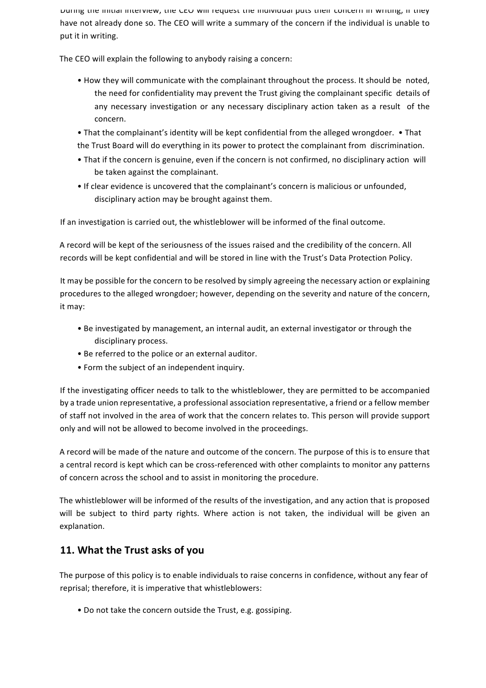During the initial interview, the CEO will request the individual puts their concern in writing, if they have not already done so. The CEO will write a summary of the concern if the individual is unable to put it in writing.

The CEO will explain the following to anybody raising a concern:

- How they will communicate with the complainant throughout the process. It should be noted, the need for confidentiality may prevent the Trust giving the complainant specific details of any necessary investigation or any necessary disciplinary action taken as a result of the concern.
- That the complainant's identity will be kept confidential from the alleged wrongdoer. That the Trust Board will do everything in its power to protect the complainant from discrimination.
- That if the concern is genuine, even if the concern is not confirmed, no disciplinary action will be taken against the complainant.
- If clear evidence is uncovered that the complainant's concern is malicious or unfounded, disciplinary action may be brought against them.

If an investigation is carried out, the whistleblower will be informed of the final outcome.

A record will be kept of the seriousness of the issues raised and the credibility of the concern. All records will be kept confidential and will be stored in line with the Trust's Data Protection Policy.

It may be possible for the concern to be resolved by simply agreeing the necessary action or explaining procedures to the alleged wrongdoer; however, depending on the severity and nature of the concern, it may:

- Be investigated by management, an internal audit, an external investigator or through the disciplinary process.
- Be referred to the police or an external auditor.
- Form the subject of an independent inquiry.

If the investigating officer needs to talk to the whistleblower, they are permitted to be accompanied by a trade union representative, a professional association representative, a friend or a fellow member of staff not involved in the area of work that the concern relates to. This person will provide support only and will not be allowed to become involved in the proceedings.

A record will be made of the nature and outcome of the concern. The purpose of this is to ensure that a central record is kept which can be cross-referenced with other complaints to monitor any patterns of concern across the school and to assist in monitoring the procedure.

The whistleblower will be informed of the results of the investigation, and any action that is proposed will be subject to third party rights. Where action is not taken, the individual will be given an explanation. 

## **11. What the Trust asks of you**

The purpose of this policy is to enable individuals to raise concerns in confidence, without any fear of reprisal; therefore, it is imperative that whistleblowers:

• Do not take the concern outside the Trust, e.g. gossiping.